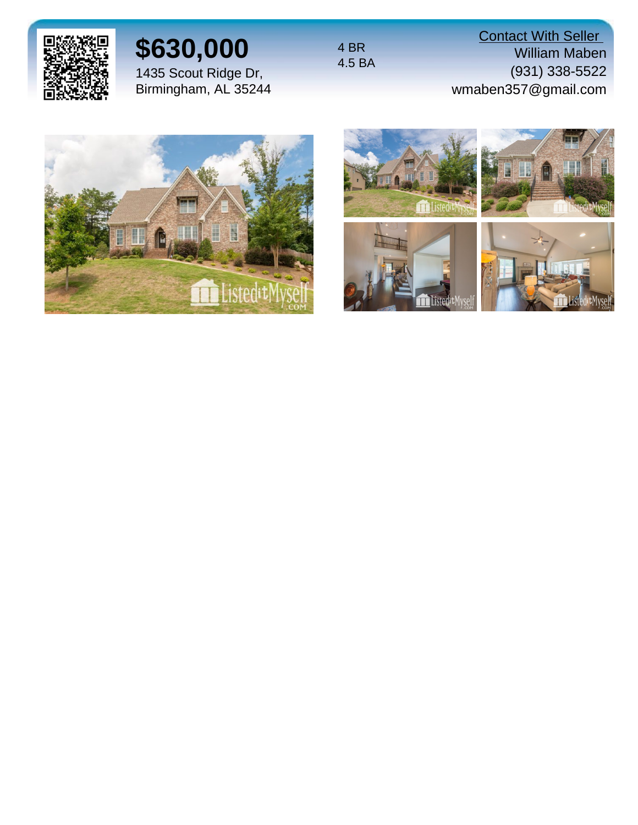

# **\$630,000**

1435 Scout Ridge Dr, Birmingham, AL 35244 4 BR 4.5 BA

**Contact With Seller** William Maben (931) 338-5522 wmaben357@gmail.com